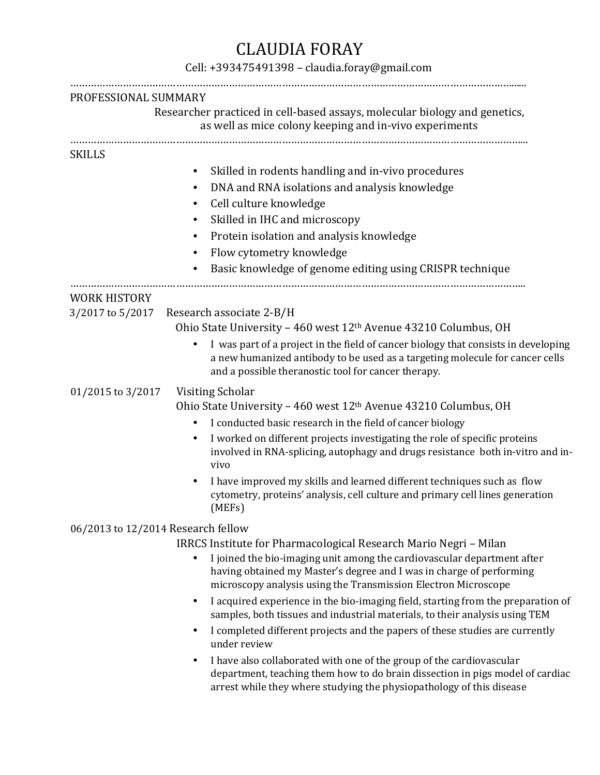## CLAUDIA FORAY

## Cell: +393475491398 – claudia.foray@gmail.com

| PROFESSIONAL SUMMARY                    |                                                                                                                                                                                                                                            |  |
|-----------------------------------------|--------------------------------------------------------------------------------------------------------------------------------------------------------------------------------------------------------------------------------------------|--|
|                                         | Researcher practiced in cell-based assays, molecular biology and genetics,<br>as well as mice colony keeping and in-vivo experiments                                                                                                       |  |
| <b>SKILLS</b>                           |                                                                                                                                                                                                                                            |  |
|                                         | Skilled in rodents handling and in-vivo procedures                                                                                                                                                                                         |  |
|                                         | DNA and RNA isolations and analysis knowledge<br>٠                                                                                                                                                                                         |  |
|                                         | Cell culture knowledge<br>٠                                                                                                                                                                                                                |  |
|                                         | Skilled in IHC and microscopy<br>٠                                                                                                                                                                                                         |  |
|                                         | Protein isolation and analysis knowledge                                                                                                                                                                                                   |  |
|                                         | Flow cytometry knowledge                                                                                                                                                                                                                   |  |
|                                         | Basic knowledge of genome editing using CRISPR technique                                                                                                                                                                                   |  |
|                                         |                                                                                                                                                                                                                                            |  |
| <b>WORK HISTORY</b><br>3/2017 to 5/2017 | Research associate 2-B/H                                                                                                                                                                                                                   |  |
|                                         | Ohio State University - 460 west 12th Avenue 43210 Columbus, OH                                                                                                                                                                            |  |
|                                         | I was part of a project in the field of cancer biology that consists in developing<br>a new humanized antibody to be used as a targeting molecule for cancer cells<br>and a possible theranostic tool for cancer therapy.                  |  |
| 01/2015 to 3/2017                       | Visiting Scholar                                                                                                                                                                                                                           |  |
|                                         | Ohio State University - 460 west 12 <sup>th</sup> Avenue 43210 Columbus, OH                                                                                                                                                                |  |
|                                         | I conducted basic research in the field of cancer biology                                                                                                                                                                                  |  |
|                                         | I worked on different projects investigating the role of specific proteins<br>involved in RNA-splicing, autophagy and drugs resistance both in-vitro and in-<br>vivo                                                                       |  |
|                                         | I have improved my skills and learned different techniques such as flow<br>cytometry, proteins' analysis, cell culture and primary cell lines generation<br>(MEFs)                                                                         |  |
| 06/2013 to 12/2014 Research fellow      |                                                                                                                                                                                                                                            |  |
|                                         | IRRCS Institute for Pharmacological Research Mario Negri - Milan                                                                                                                                                                           |  |
|                                         | I joined the bio-imaging unit among the cardiovascular department after<br>having obtained my Master's degree and I was in charge of performing<br>microscopy analysis using the Transmission Electron Microscope                          |  |
|                                         | I acquired experience in the bio-imaging field, starting from the preparation of<br>$\bullet$<br>samples, both tissues and industrial materials, to their analysis using TEM                                                               |  |
|                                         | I completed different projects and the papers of these studies are currently<br>$\bullet$<br>under review                                                                                                                                  |  |
|                                         | I have also collaborated with one of the group of the cardiovascular<br>$\bullet$<br>department, teaching them how to do brain dissection in pigs model of cardiac<br>arrest while they where studying the physiopathology of this disease |  |